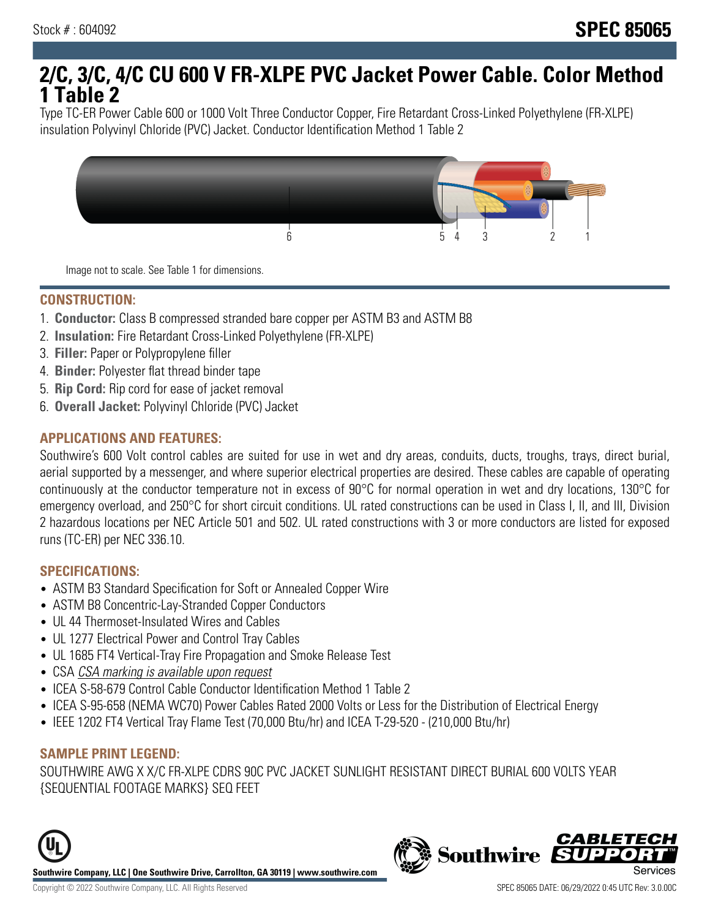## **2/C, 3/C, 4/C CU 600 V FR-XLPE PVC Jacket Power Cable. Color Method 1 Table 2**

Type TC-ER Power Cable 600 or 1000 Volt Three Conductor Copper, Fire Retardant Cross-Linked Polyethylene (FR-XLPE) insulation Polyvinyl Chloride (PVC) Jacket. Conductor Identification Method 1 Table 2



Image not to scale. See Table 1 for dimensions.

#### **CONSTRUCTION:**

- 1. **Conductor:** Class B compressed stranded bare copper per ASTM B3 and ASTM B8
- 2. **Insulation:** Fire Retardant Cross-Linked Polyethylene (FR-XLPE)
- 3. **Filler:** Paper or Polypropylene filler
- 4. **Binder:** Polyester flat thread binder tape
- 5. **Rip Cord:** Rip cord for ease of jacket removal
- 6. **Overall Jacket:** Polyvinyl Chloride (PVC) Jacket

## **APPLICATIONS AND FEATURES:**

Southwire's 600 Volt control cables are suited for use in wet and dry areas, conduits, ducts, troughs, trays, direct burial, aerial supported by a messenger, and where superior electrical properties are desired. These cables are capable of operating continuously at the conductor temperature not in excess of 90°C for normal operation in wet and dry locations, 130°C for emergency overload, and 250°C for short circuit conditions. UL rated constructions can be used in Class I, II, and III, Division 2 hazardous locations per NEC Article 501 and 502. UL rated constructions with 3 or more conductors are listed for exposed runs (TC-ER) per NEC 336.10.

#### **SPECIFICATIONS:**

- ASTM B3 Standard Specification for Soft or Annealed Copper Wire
- ASTM B8 Concentric-Lay-Stranded Copper Conductors
- UL 44 Thermoset-Insulated Wires and Cables
- UL 1277 Electrical Power and Control Tray Cables
- UL 1685 FT4 Vertical-Tray Fire Propagation and Smoke Release Test
- CSA CSA marking is available upon request
- ICEA S-58-679 Control Cable Conductor Identification Method 1 Table 2
- ICEA S-95-658 (NEMA WC70) Power Cables Rated 2000 Volts or Less for the Distribution of Electrical Energy
- IEEE 1202 FT4 Vertical Tray Flame Test (70,000 Btu/hr) and ICEA T-29-520 (210,000 Btu/hr)

#### **SAMPLE PRINT LEGEND:**

SOUTHWIRE AWG X X/C FR-XLPE CDRS 90C PVC JACKET SUNLIGHT RESISTANT DIRECT BURIAL 600 VOLTS YEAR {SEQUENTIAL FOOTAGE MARKS} SEQ FEET